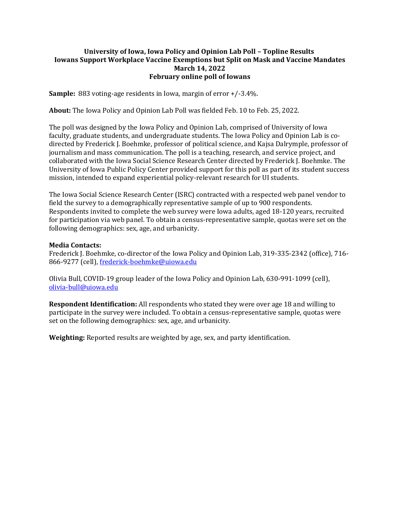## **University of Iowa, Iowa Policy and Opinion Lab Poll – Topline Results Iowans Support Workplace Vaccine Exemptions but Split on Mask and Vaccine Mandates March 14, 2022 February online poll of Iowans**

**Sample:** 883 voting-age residents in Iowa, margin of error +/-3.4%.

**About:** The Iowa Policy and Opinion Lab Poll was fielded Feb. 10 to Feb. 25, 2022.

The poll was designed by the Iowa Policy and Opinion Lab, comprised of University of Iowa faculty, graduate students, and undergraduate students. The Iowa Policy and Opinion Lab is codirected by Frederick J. Boehmke, professor of political science, and Kajsa Dalrymple, professor of journalism and mass communication. The poll is a teaching, research, and service project, and collaborated with the Iowa Social Science Research Center directed by Frederick J. Boehmke. The University of Iowa Public Policy Center provided support for this poll as part of its student success mission, intended to expand experiential policy-relevant research for UI students.

The Iowa Social Science Research Center (ISRC) contracted with a respected web panel vendor to field the survey to a demographically representative sample of up to 900 respondents. Respondents invited to complete the web survey were Iowa adults, aged 18-120 years, recruited for participation via web panel. To obtain a census-representative sample, quotas were set on the following demographics: sex, age, and urbanicity.

## **Media Contacts:**

Frederick J. Boehmke, co-director of the Iowa Policy and Opinion Lab, 319-335-2342 (office), 716 866-9277 (cell), [frederick-boehmke@uiowa.edu](mailto:frederick-boehmke@uiowa.edu)

Olivia Bull, COVID-19 group leader of the Iowa Policy and Opinion Lab, 630-991-1099 (cell), [olivia-bull@uiowa.edu](mailto:olivia-bull@uiowa.edu)

**Respondent Identification:** All respondents who stated they were over age 18 and willing to participate in the survey were included. To obtain a census-representative sample, quotas were set on the following demographics: sex, age, and urbanicity.

**Weighting:** Reported results are weighted by age, sex, and party identification.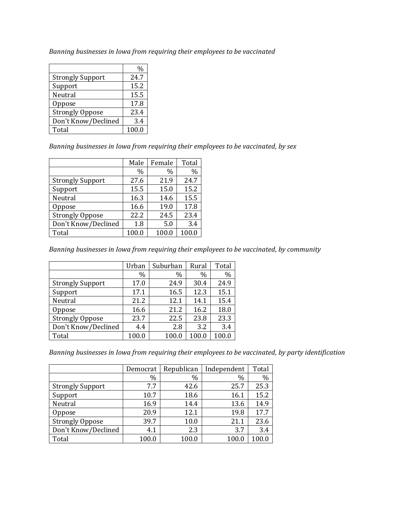*Banning businesses in Iowa from requiring their employees to be vaccinated*

|                         | %     |
|-------------------------|-------|
| <b>Strongly Support</b> | 24.7  |
| Support                 | 15.2  |
| Neutral                 | 15.5  |
| Oppose                  | 17.8  |
| <b>Strongly Oppose</b>  | 23.4  |
| Don't Know/Declined     | 3.4   |
| Total                   | 100.0 |

*Banning businesses in Iowa from requiring their employees to be vaccinated, by sex*

|                         | Male  | Female | Total |
|-------------------------|-------|--------|-------|
|                         | $\%$  | $\%$   | $\%$  |
| <b>Strongly Support</b> | 27.6  | 21.9   | 24.7  |
| Support                 | 15.5  | 15.0   | 15.2  |
| Neutral                 | 16.3  | 14.6   | 15.5  |
| Oppose                  | 16.6  | 19.0   | 17.8  |
| <b>Strongly Oppose</b>  | 22.2  | 24.5   | 23.4  |
| Don't Know/Declined     | 1.8   | 5.0    | 3.4   |
| Total                   | 100.0 | 100.0  | 100.0 |

*Banning businesses in Iowa from requiring their employees to be vaccinated, by community*

|                         | Urban | Suburban | Rural | Total |
|-------------------------|-------|----------|-------|-------|
|                         | $\%$  | $\%$     | $\%$  | $\%$  |
| <b>Strongly Support</b> | 17.0  | 24.9     | 30.4  | 24.9  |
| Support                 | 17.1  | 16.5     | 12.3  | 15.1  |
| Neutral                 | 21.2  | 12.1     | 14.1  | 15.4  |
| Oppose                  | 16.6  | 21.2     | 16.2  | 18.0  |
| <b>Strongly Oppose</b>  | 23.7  | 22.5     | 23.8  | 23.3  |
| Don't Know/Declined     | 4.4   | 2.8      | 3.2   | 3.4   |
| Total                   | 100.0 | 100.0    | 100.0 | 100.0 |

*Banning businesses in Iowa from requiring their employees to be vaccinated, by party identification*

|                         | Democrat | Republican | Independent | Total |
|-------------------------|----------|------------|-------------|-------|
|                         | $\%$     | $\%$       | $\%$        | %     |
| <b>Strongly Support</b> | 7.7      | 42.6       | 25.7        | 25.3  |
| Support                 | 10.7     | 18.6       | 16.1        | 15.2  |
| Neutral                 | 16.9     | 14.4       | 13.6        | 14.9  |
| Oppose                  | 20.9     | 12.1       | 19.8        | 17.7  |
| <b>Strongly Oppose</b>  | 39.7     | 10.0       | 21.1        | 23.6  |
| Don't Know/Declined     | 4.1      | 2.3        | 3.7         | 3.4   |
| Total                   | 100.0    | 100.0      | 100.0       | 100.0 |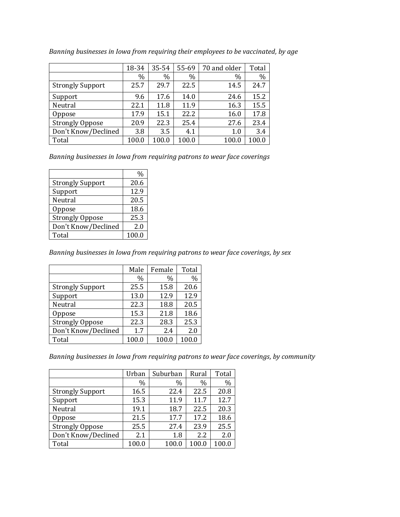|                         | 18-34 | 35-54 | 55-69 | 70 and older | Total |
|-------------------------|-------|-------|-------|--------------|-------|
|                         | $\%$  | %     | $\%$  | $\%$         | $\%$  |
| <b>Strongly Support</b> | 25.7  | 29.7  | 22.5  | 14.5         | 24.7  |
| Support                 | 9.6   | 17.6  | 14.0  | 24.6         | 15.2  |
| Neutral                 | 22.1  | 11.8  | 11.9  | 16.3         | 15.5  |
| Oppose                  | 17.9  | 15.1  | 22.2  | 16.0         | 17.8  |
| <b>Strongly Oppose</b>  | 20.9  | 22.3  | 25.4  | 27.6         | 23.4  |
| Don't Know/Declined     | 3.8   | 3.5   | 4.1   | 1.0          | 3.4   |
| Total                   | 100.0 | 100.0 | 100.0 | 100.0        | 100.0 |

*Banning businesses in Iowa from requiring their employees to be vaccinated, by age*

*Banning businesses in Iowa from requiring patrons to wear face coverings*

|                         | $\%$  |
|-------------------------|-------|
| <b>Strongly Support</b> | 20.6  |
| Support                 | 12.9  |
| Neutral                 | 20.5  |
| Oppose                  | 18.6  |
| <b>Strongly Oppose</b>  | 25.3  |
| Don't Know/Declined     | 2.0   |
| Total                   | 100.0 |

*Banning businesses in Iowa from requiring patrons to wear face coverings, by sex*

|                         | Male  | Female | Total |
|-------------------------|-------|--------|-------|
|                         | $\%$  | $\%$   | $\%$  |
| <b>Strongly Support</b> | 25.5  | 15.8   | 20.6  |
| Support                 | 13.0  | 12.9   | 12.9  |
| Neutral                 | 22.3  | 18.8   | 20.5  |
| Oppose                  | 15.3  | 21.8   | 18.6  |
| <b>Strongly Oppose</b>  | 22.3  | 28.3   | 25.3  |
| Don't Know/Declined     | 1.7   | 2.4    | 2.0   |
| Total                   | 100.0 | 100.0  | 100.0 |

*Banning businesses in Iowa from requiring patrons to wear face coverings, by community*

|                         | Urban | Suburban | Rural | Total |
|-------------------------|-------|----------|-------|-------|
|                         | $\%$  | $\%$     | $\%$  | $\%$  |
| <b>Strongly Support</b> | 16.5  | 22.4     | 22.5  | 20.8  |
| Support                 | 15.3  | 11.9     | 11.7  | 12.7  |
| Neutral                 | 19.1  | 18.7     | 22.5  | 20.3  |
| Oppose                  | 21.5  | 17.7     | 17.2  | 18.6  |
| <b>Strongly Oppose</b>  | 25.5  | 27.4     | 23.9  | 25.5  |
| Don't Know/Declined     | 2.1   | 1.8      | 2.2   | 2.0   |
| Total                   | 100.0 | 100.0    | 100.0 |       |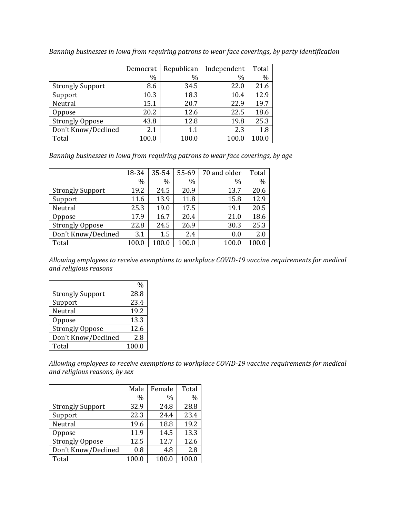|                         | Democrat | Republican | Independent | Total   |
|-------------------------|----------|------------|-------------|---------|
|                         | $\%$     | $\%$       | $\%$        | $\%$    |
| <b>Strongly Support</b> | 8.6      | 34.5       | 22.0        | 21.6    |
| Support                 | 10.3     | 18.3       | 10.4        | 12.9    |
| Neutral                 | 15.1     | 20.7       | 22.9        | 19.7    |
| <b>Oppose</b>           | 20.2     | 12.6       | 22.5        | 18.6    |
| <b>Strongly Oppose</b>  | 43.8     | 12.8       | 19.8        | 25.3    |
| Don't Know/Declined     | 2.1      | 1.1        | 2.3         | $1.8\,$ |
| Total                   | 100.0    | 100.0      | 100.0       | 100.0   |

*Banning businesses in Iowa from requiring patrons to wear face coverings, by party identification*

*Banning businesses in Iowa from requiring patrons to wear face coverings, by age*

|                         | 18-34 | 35-54 | 55-69         | 70 and older | Total |
|-------------------------|-------|-------|---------------|--------------|-------|
|                         | $\%$  | $\%$  | $\frac{0}{0}$ | $\%$         | $\%$  |
| <b>Strongly Support</b> | 19.2  | 24.5  | 20.9          | 13.7         | 20.6  |
| Support                 | 11.6  | 13.9  | 11.8          | 15.8         | 12.9  |
| Neutral                 | 25.3  | 19.0  | 17.5          | 19.1         | 20.5  |
| Oppose                  | 17.9  | 16.7  | 20.4          | 21.0         | 18.6  |
| <b>Strongly Oppose</b>  | 22.8  | 24.5  | 26.9          | 30.3         | 25.3  |
| Don't Know/Declined     | 3.1   | 1.5   | 2.4           | 0.0          | 2.0   |
| Total                   | 100.0 | 100.0 | 100.0         | 100.0        | 100.0 |

*Allowing employees to receive exemptions to workplace COVID-19 vaccine requirements for medical and religious reasons*

|                         | ℆     |
|-------------------------|-------|
| <b>Strongly Support</b> | 28.8  |
| Support                 | 23.4  |
| Neutral                 | 19.2  |
| Oppose                  | 13.3  |
| <b>Strongly Oppose</b>  | 12.6  |
| Don't Know/Declined     | 2.8   |
| Total                   | 100.0 |

*Allowing employees to receive exemptions to workplace COVID-19 vaccine requirements for medical and religious reasons, by sex*

|                         | Male  | Female | Total |
|-------------------------|-------|--------|-------|
|                         | $\%$  | $\%$   | $\%$  |
| <b>Strongly Support</b> | 32.9  | 24.8   | 28.8  |
| Support                 | 22.3  | 24.4   | 23.4  |
| Neutral                 | 19.6  | 18.8   | 19.2  |
| Oppose                  | 11.9  | 14.5   | 13.3  |
| <b>Strongly Oppose</b>  | 12.5  | 12.7   | 12.6  |
| Don't Know/Declined     | 0.8   | 4.8    | 2.8   |
| Total                   | 100.0 | 100.0  | 100.0 |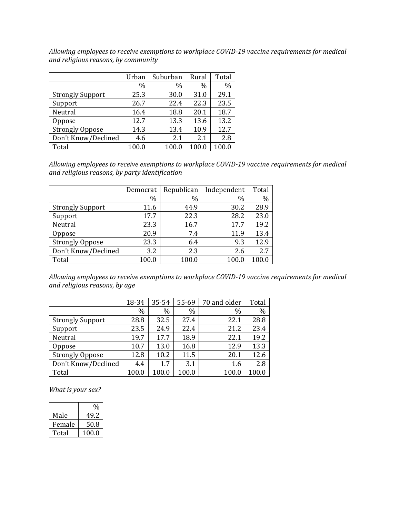*Allowing employees to receive exemptions to workplace COVID-19 vaccine requirements for medical and religious reasons, by community*

|                         | Urban | Suburban | Rural         | Total |
|-------------------------|-------|----------|---------------|-------|
|                         | $\%$  | $\%$     | $\frac{0}{0}$ | $\%$  |
| <b>Strongly Support</b> | 25.3  | 30.0     | 31.0          | 29.1  |
| Support                 | 26.7  | 22.4     | 22.3          | 23.5  |
| Neutral                 | 16.4  | 18.8     | 20.1          | 18.7  |
| Oppose                  | 12.7  | 13.3     | 13.6          | 13.2  |
| <b>Strongly Oppose</b>  | 14.3  | 13.4     | 10.9          | 12.7  |
| Don't Know/Declined     | 4.6   | 2.1      | 2.1           | 2.8   |
| Total                   | 100.0 | 100.0    | 100.0         |       |

*Allowing employees to receive exemptions to workplace COVID-19 vaccine requirements for medical and religious reasons, by party identification*

|                         | Democrat | Republican | Independent | Total |
|-------------------------|----------|------------|-------------|-------|
|                         | $\%$     | $\%$       | $\%$        | $\%$  |
| <b>Strongly Support</b> | 11.6     | 44.9       | 30.2        | 28.9  |
| Support                 | 17.7     | 22.3       | 28.2        | 23.0  |
| Neutral                 | 23.3     | 16.7       | 17.7        | 19.2  |
| Oppose                  | 20.9     | 7.4        | 11.9        | 13.4  |
| <b>Strongly Oppose</b>  | 23.3     | 6.4        | 9.3         | 12.9  |
| Don't Know/Declined     | 3.2      | 2.3        | 2.6         | 2.7   |
| Total                   | 100.0    | 100.0      | 100.0       | 100.0 |

*Allowing employees to receive exemptions to workplace COVID-19 vaccine requirements for medical and religious reasons, by age*

|                         | 18-34 | 35-54 | 55-69 | 70 and older | Total |
|-------------------------|-------|-------|-------|--------------|-------|
|                         | $\%$  | %     | $\%$  | $\%$         | $\%$  |
| <b>Strongly Support</b> | 28.8  | 32.5  | 27.4  | 22.1         | 28.8  |
| Support                 | 23.5  | 24.9  | 22.4  | 21.2         | 23.4  |
| Neutral                 | 19.7  | 17.7  | 18.9  | 22.1         | 19.2  |
| Oppose                  | 10.7  | 13.0  | 16.8  | 12.9         | 13.3  |
| <b>Strongly Oppose</b>  | 12.8  | 10.2  | 11.5  | 20.1         | 12.6  |
| Don't Know/Declined     | 4.4   | 1.7   | 3.1   | 1.6          | 2.8   |
| Total                   | 100.0 | 100.0 | 100.0 | 100.0        |       |

*What is your sex?*

|        | $\frac{0}{0}$ |
|--------|---------------|
| Male   | 49.2          |
| Female | 50.8          |
| Total  | 100.0         |